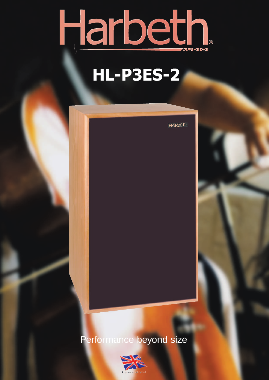

## **HL-P3ES-2**

**HARBETH**